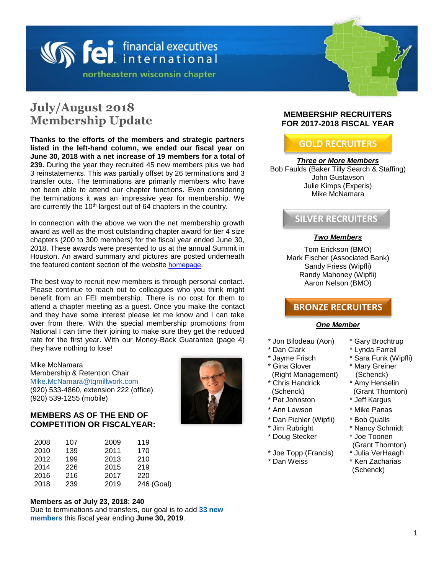

# **July/August 2018 Membership Update**

**Thanks to the efforts of the members and strategic partners listed in the left-hand column, we ended our fiscal year on June 30, 2018 with a net increase of 19 members for a total of 239.** During the year they recruited 45 new members plus we had 3 reinstatements. This was partially offset by 26 terminations and 3 transfer outs. The terminations are primarily members who have not been able to attend our chapter functions. Even considering the terminations it was an impressive year for membership. We are currently the 10<sup>th</sup> largest out of 64 chapters in the country.

In connection with the above we won the net membership growth award as well as the most outstanding chapter award for tier 4 size chapters (200 to 300 members) for the fiscal year ended June 30, 2018. These awards were presented to us at the annual Summit in Houston. An award summary and pictures are posted underneath the featured content section of the website [homepage](http://feinew.org/).

The best way to recruit new members is through personal contact. Please continue to reach out to colleagues who you think might benefit from an FEI membership. There is no cost for them to attend a chapter meeting as a guest. Once you make the contact and they have some interest please let me know and I can take over from there. With the special membership promotions from National I can time their joining to make sure they get the reduced rate for the first year. With our Money-Back Guarantee (page 4) they have nothing to lose!

Mike McNamara Membership & Retention Chair [Mike.McNamara@tqmillwork.com](mailto:Mike.McNamara@tqmillwork.com) (920) 533-4860, extension 222 (office) (920) 539-1255 (mobile)

#### **MEMBERS AS OF THE END OF COMPETITION OR FISCALYEAR:**

| 2008 | 107 | 2009 | 119        |
|------|-----|------|------------|
| 2010 | 139 | 2011 | 170        |
|      |     |      |            |
| 2012 | 199 | 2013 | 210        |
| 2014 | 226 | 2015 | 219        |
| 2016 | 216 | 2017 | 220        |
| 2018 | 239 | 2019 | 246 (Goal) |

#### **Members as of July 23, 2018: 240**

Due to terminations and transfers, our goal is to add **33 new members** this fiscal year ending **June 30, 2019**.

#### **MEMBERSHIP RECRUITERS FOR 2017-2018 FISCAL YEAR**

# **GOLD RECRUITERS**

#### *Three or More Members*

Bob Faulds (Baker Tilly Search & Staffing) John Gustavson Julie Kimps (Experis) Mike McNamara

# **SILVER RECRUITERS**

#### *Two Members*

Tom Erickson (BMO) Mark Fischer (Associated Bank) Sandy Friess (Wipfli) Randy Mahoney (Wipfli) Aaron Nelson (BMO)

## **BRONZE RECRUITERS**

#### *One Member*

- \* Jon Bilodeau (Aon) \* Gary Brochtrup
- 
- 
- \* Gina Glover
- (Right Management) \* Chris Handrick
- (Schenck)<br>\* Pat Johnston
- 
- \* Ann Lawson \* Mike Panas
- \* Dan Pichler (Wipfli) \* Bob Qualls<br>\* Jim Rubright \* Nancy Schr
- 
- \* Doug Stecker \* Joe Toonen
- \* Joe Topp (Francis) \* Julia VerHaagh
- \* Dan Weiss \* Ken Zacharias
- 
- \* Dan Clark \* Lynda Farrell
- \* Jayme Frisch \* Sara Funk (Wipfli)
	- \* Mary Greiner (Schenck)
	- \* Amy Henselin
	- (Grant Thornton)
	- \* Jeff Kargus
	-
	-
	- \* Nancy Schmidt
	-
	- (Grant Thornton)
	-
	- (Schenck)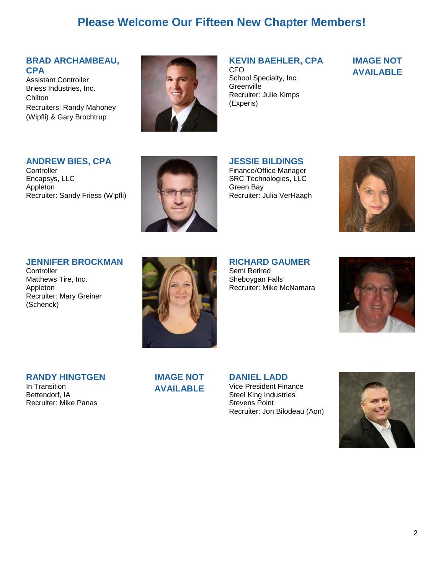# **Please Welcome Our Fifteen New Chapter Members!**

#### **BRAD ARCHAMBEAU, CPA**

Assistant Controller Briess Industries, Inc. Chilton Recruiters: Randy Mahoney (Wipfli) & Gary Brochtrup



#### **KEVIN BAEHLER, CPA**

CFO School Specialty, Inc. **Greenville** Recruiter: Julie Kimps (Experis)

## **IMAGE NOT AVAILABLE**

#### **ANDREW BIES, CPA**

**Controller** Encapsys, LLC Appleton Recruiter: Sandy Friess (Wipfli)



**JESSIE BILDINGS** Finance/Office Manager SRC Technologies, LLC Green Bay Recruiter: Julia VerHaagh



#### **JENNIFER BROCKMAN**

**Controller** Matthews Tire, Inc. Appleton Recruiter: Mary Greiner (Schenck)

**RICHARD GAUMER** Semi Retired Sheboygan Falls Recruiter: Mike McNamara



**RANDY HINGTGEN**

In Transition Bettendorf, IA Recruiter: Mike Panas **IMAGE NOT AVAILABLE** **DANIEL LADD** Vice President Finance Steel King Industries Stevens Point Recruiter: Jon Bilodeau (Aon)

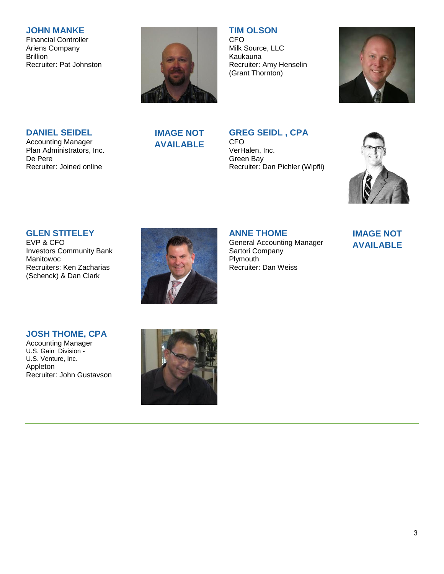#### **JOHN MANKE**

Financial Controller Ariens Company Brillion Recruiter: Pat Johnston



**TIM OLSON**

CFO Milk Source, LLC Kaukauna Recruiter: Amy Henselin (Grant Thornton)



#### **DANIEL SEIDEL**

Accounting Manager Plan Administrators, Inc. De Pere Recruiter: Joined online

# **IMAGE NOT AVAILABLE**

# **GREG SEIDL , CPA**

CFO VerHalen, Inc. Green Bay Recruiter: Dan Pichler (Wipfli)



### **GLEN STITELEY**

EVP & CFO Investors Community Bank Manitowoc Recruiters: Ken Zacharias (Schenck) & Dan Clark



### **ANNE THOME**

General Accounting Manager Sartori Company Plymouth Recruiter: Dan Weiss

# **IMAGE NOT AVAILABLE**

#### **JOSH THOME, CPA**

Accounting Manager U.S. Gain Division - U.S. Venture, Inc. Appleton Recruiter: John Gustavson